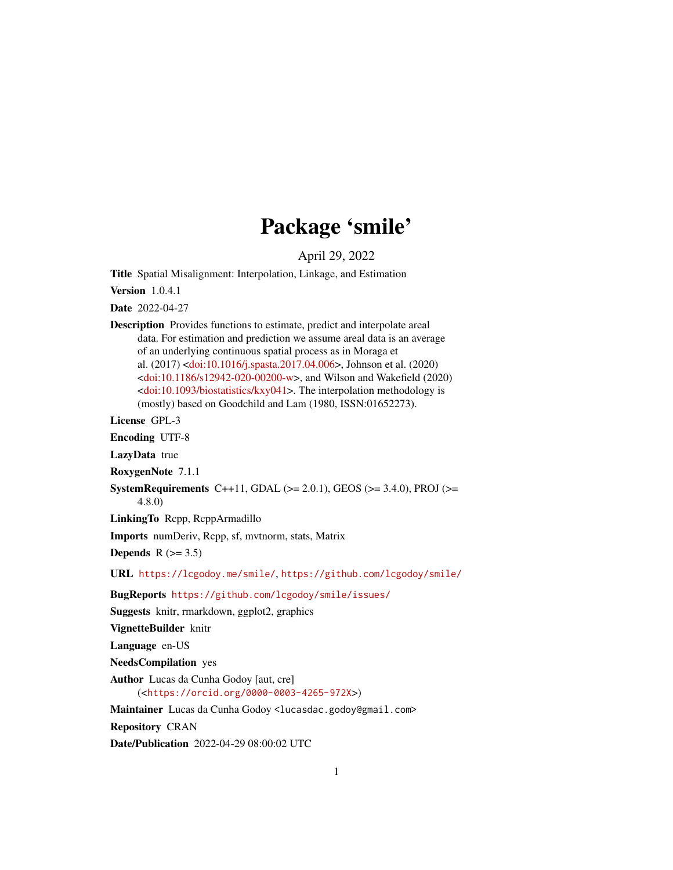# Package 'smile'

April 29, 2022

Title Spatial Misalignment: Interpolation, Linkage, and Estimation

Version 1.0.4.1

Date 2022-04-27

Description Provides functions to estimate, predict and interpolate areal data. For estimation and prediction we assume areal data is an average of an underlying continuous spatial process as in Moraga et al. (2017) [<doi:10.1016/j.spasta.2017.04.006>](https://doi.org/10.1016/j.spasta.2017.04.006), Johnson et al. (2020) [<doi:10.1186/s12942-020-00200-w>](https://doi.org/10.1186/s12942-020-00200-w), and Wilson and Wakefield (2020)  $\langle \text{doi:10.1093/biostatistics/kxy041>}$ . The interpolation methodology is (mostly) based on Goodchild and Lam (1980, ISSN:01652273).

License GPL-3

Encoding UTF-8

LazyData true

RoxygenNote 7.1.1

SystemRequirements C++11, GDAL ( $>=$  2.0.1), GEOS ( $>=$  3.4.0), PROJ ( $>=$ 4.8.0)

LinkingTo Rcpp, RcppArmadillo

Imports numDeriv, Rcpp, sf, mvtnorm, stats, Matrix

Depends  $R$  ( $>= 3.5$ )

URL <https://lcgodoy.me/smile/>, <https://github.com/lcgodoy/smile/>

BugReports <https://github.com/lcgodoy/smile/issues/>

Suggests knitr, rmarkdown, ggplot2, graphics

VignetteBuilder knitr

Language en-US

NeedsCompilation yes

Author Lucas da Cunha Godoy [aut, cre] (<<https://orcid.org/0000-0003-4265-972X>>)

Maintainer Lucas da Cunha Godoy <lucasdac.godoy@gmail.com>

Repository CRAN

Date/Publication 2022-04-29 08:00:02 UTC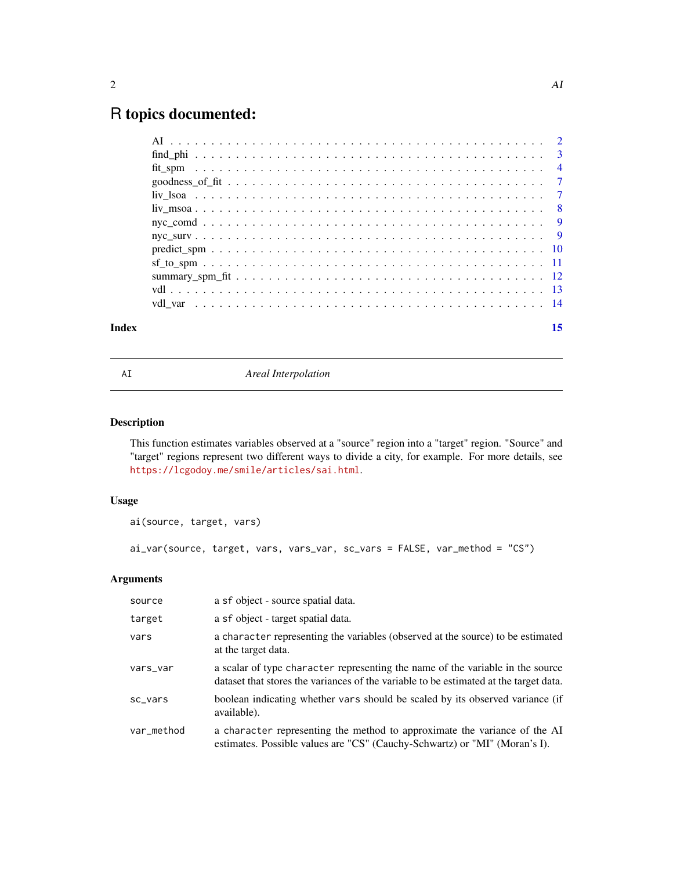## <span id="page-1-0"></span>R topics documented:

| Index |                                                                                                                                                                                                                                                                                                                     | 15 |
|-------|---------------------------------------------------------------------------------------------------------------------------------------------------------------------------------------------------------------------------------------------------------------------------------------------------------------------|----|
|       |                                                                                                                                                                                                                                                                                                                     |    |
|       |                                                                                                                                                                                                                                                                                                                     |    |
|       |                                                                                                                                                                                                                                                                                                                     |    |
|       |                                                                                                                                                                                                                                                                                                                     |    |
|       |                                                                                                                                                                                                                                                                                                                     |    |
|       |                                                                                                                                                                                                                                                                                                                     |    |
|       |                                                                                                                                                                                                                                                                                                                     |    |
|       |                                                                                                                                                                                                                                                                                                                     |    |
|       | $\frac{1}{1}$ $\frac{1}{2}$ $\frac{1}{2}$ $\frac{1}{2}$ $\frac{1}{2}$ $\frac{1}{2}$ $\frac{1}{2}$ $\frac{1}{2}$ $\frac{1}{2}$ $\frac{1}{2}$ $\frac{1}{2}$ $\frac{1}{2}$ $\frac{1}{2}$ $\frac{1}{2}$ $\frac{1}{2}$ $\frac{1}{2}$ $\frac{1}{2}$ $\frac{1}{2}$ $\frac{1}{2}$ $\frac{1}{2}$ $\frac{1}{2}$ $\frac{1}{2}$ |    |
|       |                                                                                                                                                                                                                                                                                                                     |    |
|       |                                                                                                                                                                                                                                                                                                                     |    |
|       |                                                                                                                                                                                                                                                                                                                     |    |
|       |                                                                                                                                                                                                                                                                                                                     |    |

AI *Areal Interpolation*

#### Description

This function estimates variables observed at a "source" region into a "target" region. "Source" and "target" regions represent two different ways to divide a city, for example. For more details, see <https://lcgodoy.me/smile/articles/sai.html>.

#### Usage

```
ai(source, target, vars)
```
ai\_var(source, target, vars, vars\_var, sc\_vars = FALSE, var\_method = "CS")

#### Arguments

| source     | a sf object - source spatial data.                                                                                                                                      |
|------------|-------------------------------------------------------------------------------------------------------------------------------------------------------------------------|
| target     | a sf object - target spatial data.                                                                                                                                      |
| vars       | a character representing the variables (observed at the source) to be estimated<br>at the target data.                                                                  |
| vars_var   | a scalar of type character representing the name of the variable in the source<br>dataset that stores the variances of the variable to be estimated at the target data. |
| sc_vars    | boolean indicating whether vars should be scaled by its observed variance (if<br>available).                                                                            |
| var_method | a character representing the method to approximate the variance of the AI<br>estimates. Possible values are "CS" (Cauchy-Schwartz) or "MI" (Moran's I).                 |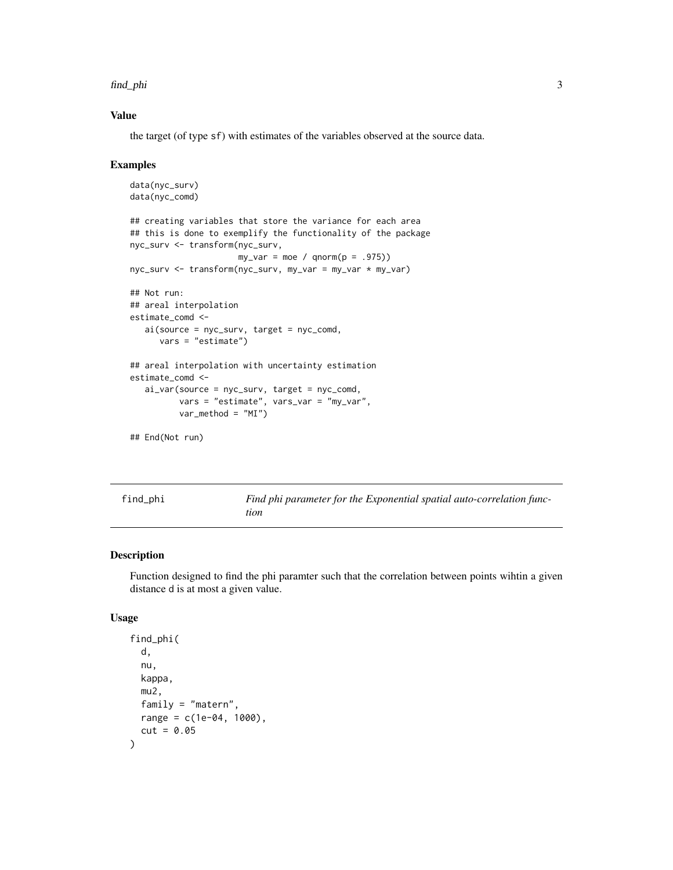#### <span id="page-2-0"></span>find\_phi 3

#### Value

the target (of type sf) with estimates of the variables observed at the source data.

#### Examples

```
data(nyc_surv)
data(nyc_comd)
## creating variables that store the variance for each area
## this is done to exemplify the functionality of the package
nyc_surv <- transform(nyc_surv,
                      my\_var = moe / qnorm(p = .975)nyc_surv <- transform(nyc_surv, my_var = my_var * my_var)
## Not run:
## areal interpolation
estimate_comd <-
   ai(source = nyc_surv, target = nyc_comd,
      vars = "estimate")
## areal interpolation with uncertainty estimation
estimate_comd <-
   ai_var(source = nyc_surv, target = nyc_comd,
          vars = "estimate", vars_var = "my_var",
          var_method = "MI")
```

```
## End(Not run)
```
find\_phi *Find phi parameter for the Exponential spatial auto-correlation function*

#### Description

Function designed to find the phi paramter such that the correlation between points wihtin a given distance d is at most a given value.

#### Usage

```
find_phi(
  d,
  nu,
  kappa,
 mu2,
  family = "matern",
  range = c(1e-04, 1000),
  cut = 0.05)
```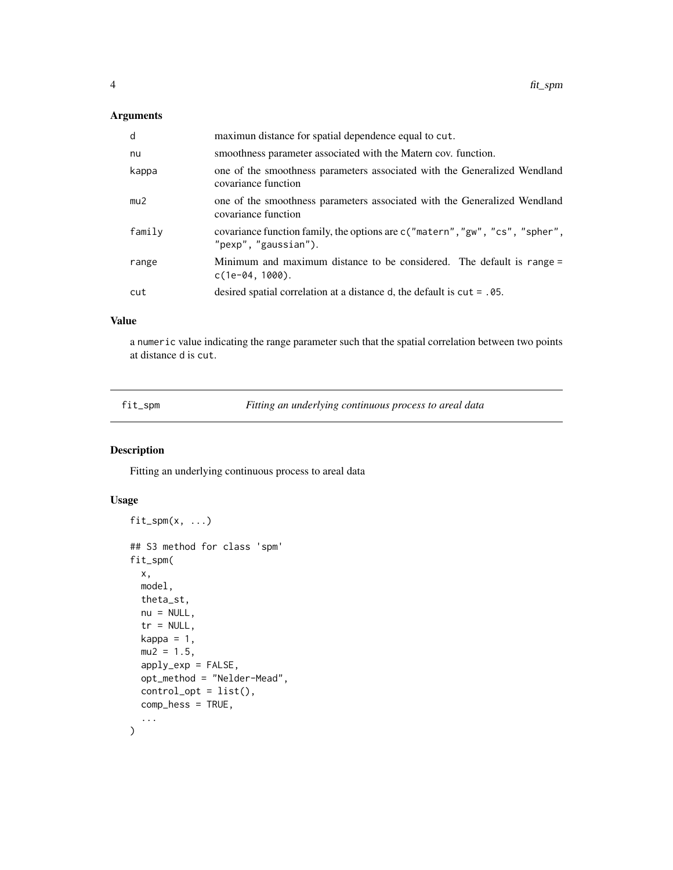#### <span id="page-3-0"></span>Arguments

| d      | maximum distance for spatial dependence equal to cut.                                                 |
|--------|-------------------------------------------------------------------------------------------------------|
| nu     | smoothness parameter associated with the Matern cov. function.                                        |
| kappa  | one of the smoothness parameters associated with the Generalized Wendland<br>covariance function      |
| mu2    | one of the smoothness parameters associated with the Generalized Wendland<br>covariance function      |
| family | covariance function family, the options are c ("matern", "gw", "cs", "spher",<br>"pexp", "gaussian"). |
| range  | Minimum and maximum distance to be considered. The default is range =<br>$c(1e-04, 1000).$            |
| cut    | desired spatial correlation at a distance $d$ , the default is $cut = .05$ .                          |

#### Value

a numeric value indicating the range parameter such that the spatial correlation between two points at distance d is cut.

<span id="page-3-1"></span>fit\_spm *Fitting an underlying continuous process to areal data*

#### Description

Fitting an underlying continuous process to areal data

#### Usage

```
fit\_spm(x, \ldots)## S3 method for class 'spm'
fit_spm(
  x,
 model,
 theta_st,
 nu = NULL,tr = NULL,kappa = 1,
  mu2 = 1.5,
  apply_exp = FALSE,
  opt_method = "Nelder-Mead",
  control = list(),
  comp_hess = TRUE,
  ...
)
```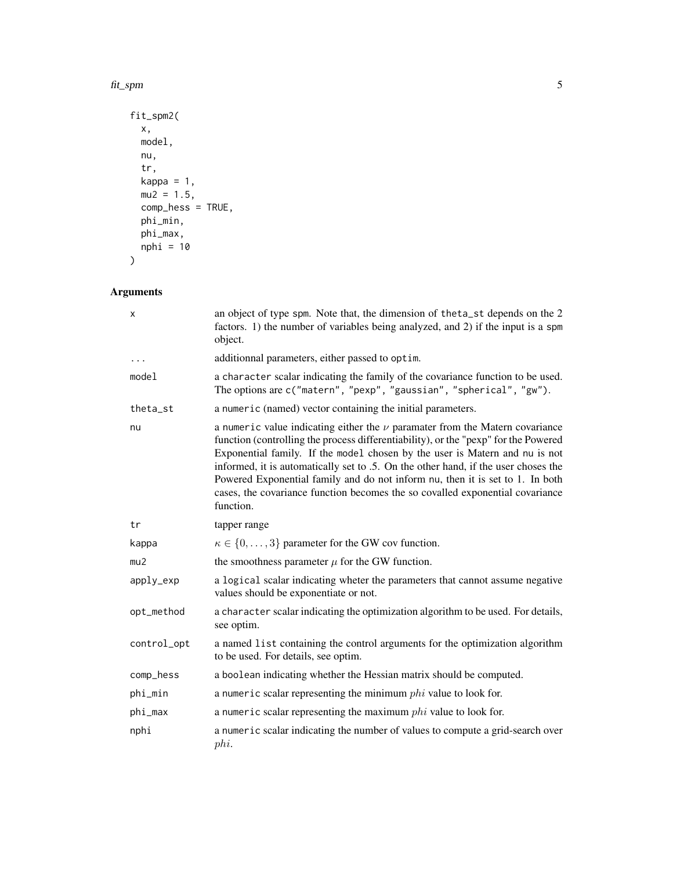#### fit\_spm 5

```
fit_spm2(
  x,
  model,
  nu,
  tr,
  kappa = 1,mu2 = 1.5,
  comp\_hess = TRUE,phi_min,
  phi_max,
  nphi = 10
\mathcal{L}
```
### Arguments

| x           | an object of type spm. Note that, the dimension of the ta_st depends on the 2<br>factors. 1) the number of variables being analyzed, and 2) if the input is a spm<br>object.                                                                                                                                                                                                                                                                                                                                                |
|-------------|-----------------------------------------------------------------------------------------------------------------------------------------------------------------------------------------------------------------------------------------------------------------------------------------------------------------------------------------------------------------------------------------------------------------------------------------------------------------------------------------------------------------------------|
| $\cdots$    | additionnal parameters, either passed to optim.                                                                                                                                                                                                                                                                                                                                                                                                                                                                             |
| model       | a character scalar indicating the family of the covariance function to be used.<br>The options are c("matern", "pexp", "gaussian", "spherical", "gw").                                                                                                                                                                                                                                                                                                                                                                      |
| theta_st    | a numeric (named) vector containing the initial parameters.                                                                                                                                                                                                                                                                                                                                                                                                                                                                 |
| nu          | a numeric value indicating either the $\nu$ paramater from the Matern covariance<br>function (controlling the process differentiability), or the "pexp" for the Powered<br>Exponential family. If the model chosen by the user is Matern and nu is not<br>informed, it is automatically set to .5. On the other hand, if the user choses the<br>Powered Exponential family and do not inform nu, then it is set to 1. In both<br>cases, the covariance function becomes the so covalled exponential covariance<br>function. |
| tr          | tapper range                                                                                                                                                                                                                                                                                                                                                                                                                                                                                                                |
| kappa       | $\kappa \in \{0, \ldots, 3\}$ parameter for the GW cov function.                                                                                                                                                                                                                                                                                                                                                                                                                                                            |
| mu2         | the smoothness parameter $\mu$ for the GW function.                                                                                                                                                                                                                                                                                                                                                                                                                                                                         |
| apply_exp   | a logical scalar indicating wheter the parameters that cannot assume negative<br>values should be exponentiate or not.                                                                                                                                                                                                                                                                                                                                                                                                      |
| opt_method  | a character scalar indicating the optimization algorithm to be used. For details,<br>see optim.                                                                                                                                                                                                                                                                                                                                                                                                                             |
| control_opt | a named list containing the control arguments for the optimization algorithm<br>to be used. For details, see optim.                                                                                                                                                                                                                                                                                                                                                                                                         |
| comp_hess   | a boolean indicating whether the Hessian matrix should be computed.                                                                                                                                                                                                                                                                                                                                                                                                                                                         |
| phi_min     | a numeric scalar representing the minimum $phi$ value to look for.                                                                                                                                                                                                                                                                                                                                                                                                                                                          |
| phi_max     | a numeric scalar representing the maximum $phi$ value to look for.                                                                                                                                                                                                                                                                                                                                                                                                                                                          |
| nphi        | a numeric scalar indicating the number of values to compute a grid-search over<br>phi.                                                                                                                                                                                                                                                                                                                                                                                                                                      |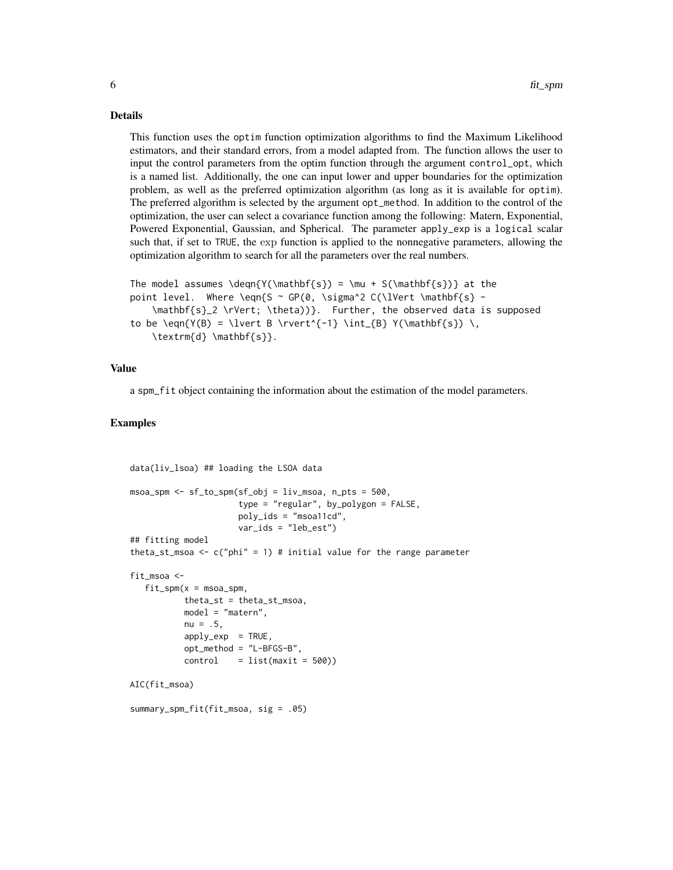#### Details

This function uses the optim function optimization algorithms to find the Maximum Likelihood estimators, and their standard errors, from a model adapted from. The function allows the user to input the control parameters from the optim function through the argument control\_opt, which is a named list. Additionally, the one can input lower and upper boundaries for the optimization problem, as well as the preferred optimization algorithm (as long as it is available for optim). The preferred algorithm is selected by the argument opt\_method. In addition to the control of the optimization, the user can select a covariance function among the following: Matern, Exponential, Powered Exponential, Gaussian, and Spherical. The parameter apply\_exp is a logical scalar such that, if set to TRUE, the exp function is applied to the nonnegative parameters, allowing the optimization algorithm to search for all the parameters over the real numbers.

```
The model assumes \deqn{Y(\mathbf{s}) = \mu + S(\mathbf{s})} at the
point level. Where \eqn{S ~ GP(0, \sigma^2 C(\lVert \mathbf{s} -
    \mathbf{s}_2 \rVert; \theta))}. Further, the observed data is supposed
to be \eqn{Y(B) = \lvert B \rvert^{-1} \int_{B} Y(\mathbf{s}) \,
   \textrm{d} \mathbf{s}}.
```
#### Value

a spm\_fit object containing the information about the estimation of the model parameters.

#### Examples

```
data(liv_lsoa) ## loading the LSOA data
msoa_spm <- sf_to_spm(sf_obj = liv_msoa, n_pts = 500,
                      type = "regular", by_polygon = FALSE,
                      poly_ids = "msoa11cd",
                      var_ids = "leb_est")
## fitting model
theta_st_msoa <- c("phi" = 1) # initial value for the range parameter
fit msoa \leq-
   fit\_spm(x = msoa\_spm,theta_st = theta_st_msoa,
          model = "matern",
           nu = .5,apply\_exp = TRUE,
           opt_method = "L-BFGS-B",
           control = list(maxit = 500)AIC(fit_msoa)
summary_spm_fit(fit_msoa, sig = .05)
```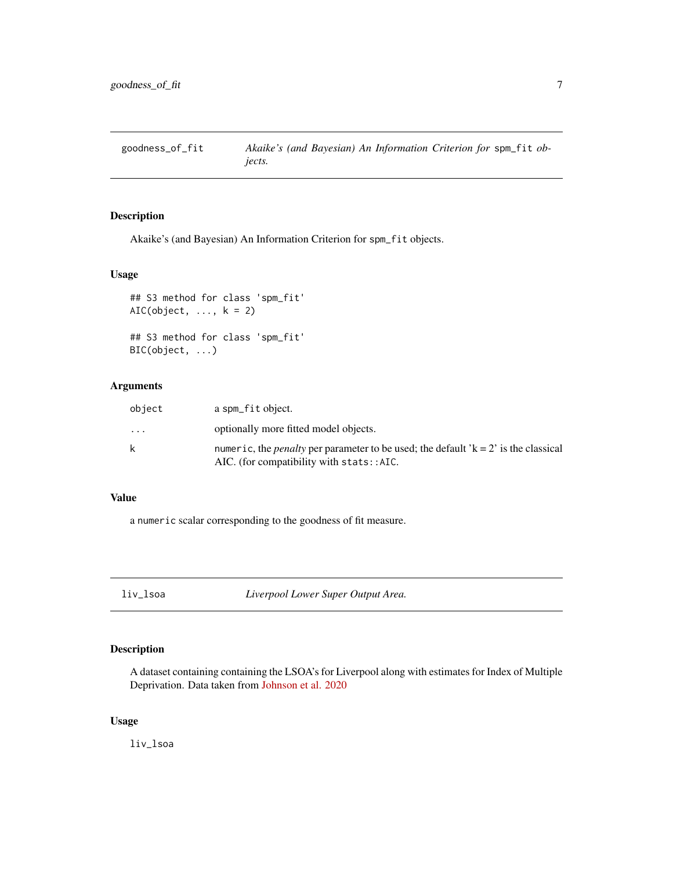<span id="page-6-0"></span>goodness\_of\_fit *Akaike's (and Bayesian) An Information Criterion for* spm\_fit *objects.*

#### Description

Akaike's (and Bayesian) An Information Criterion for spm\_fit objects.

#### Usage

```
## S3 method for class 'spm_fit'
AIC(object, \dots, k = 2)
## S3 method for class 'spm_fit'
BIC(object, ...)
```
#### Arguments

| object    | a spm_fit object.                                                                                                                        |
|-----------|------------------------------------------------------------------------------------------------------------------------------------------|
| $\ddotsc$ | optionally more fitted model objects.                                                                                                    |
| k         | numeric, the <i>penalty</i> per parameter to be used; the default $k = 2$ is the classical<br>AIC. (for compatibility with $stats::AIC.$ |

#### Value

a numeric scalar corresponding to the goodness of fit measure.

liv\_lsoa *Liverpool Lower Super Output Area.*

#### Description

A dataset containing containing the LSOA's for Liverpool along with estimates for Index of Multiple Deprivation. Data taken from [Johnson et al. 2020](https://ij-healthgeographics.biomedcentral.com/articles/10.1186/s12942-020-00200-w)

#### Usage

liv\_lsoa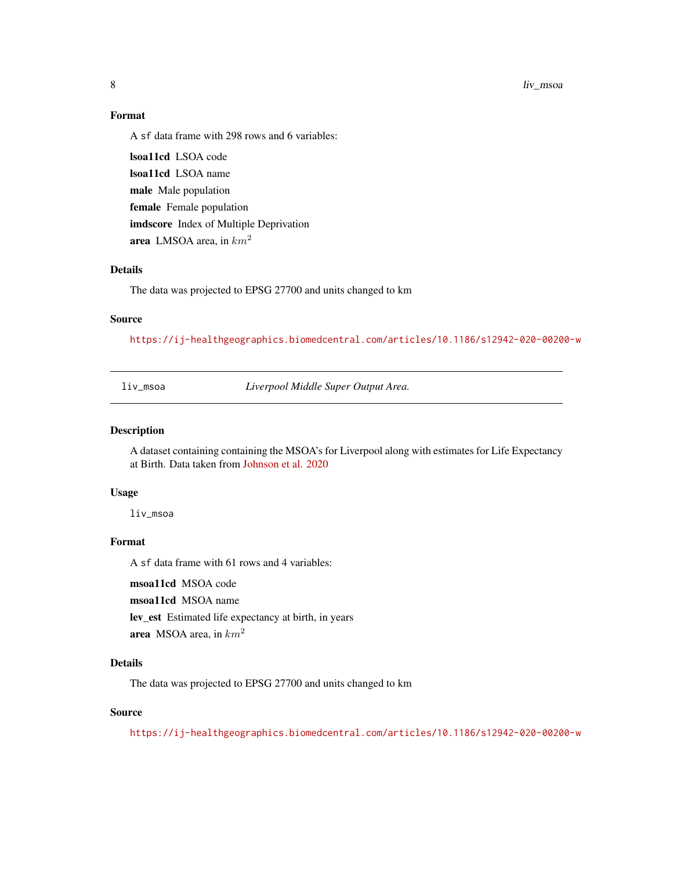8 liv\_msoa

#### Format

A sf data frame with 298 rows and 6 variables:

lsoa11cd LSOA code lsoa11cd LSOA name male Male population female Female population imdscore Index of Multiple Deprivation area LMSOA area, in  $km<sup>2</sup>$ 

#### Details

The data was projected to EPSG 27700 and units changed to km

#### Source

<https://ij-healthgeographics.biomedcentral.com/articles/10.1186/s12942-020-00200-w>

liv\_msoa *Liverpool Middle Super Output Area.*

#### Description

A dataset containing containing the MSOA's for Liverpool along with estimates for Life Expectancy at Birth. Data taken from [Johnson et al. 2020](https://ij-healthgeographics.biomedcentral.com/articles/10.1186/s12942-020-00200-w)

#### Usage

liv\_msoa

#### Format

A sf data frame with 61 rows and 4 variables:

msoa11cd MSOA code

msoa11cd MSOA name

lev\_est Estimated life expectancy at birth, in years

area MSOA area, in  $km<sup>2</sup>$ 

#### Details

The data was projected to EPSG 27700 and units changed to km

#### Source

<https://ij-healthgeographics.biomedcentral.com/articles/10.1186/s12942-020-00200-w>

<span id="page-7-0"></span>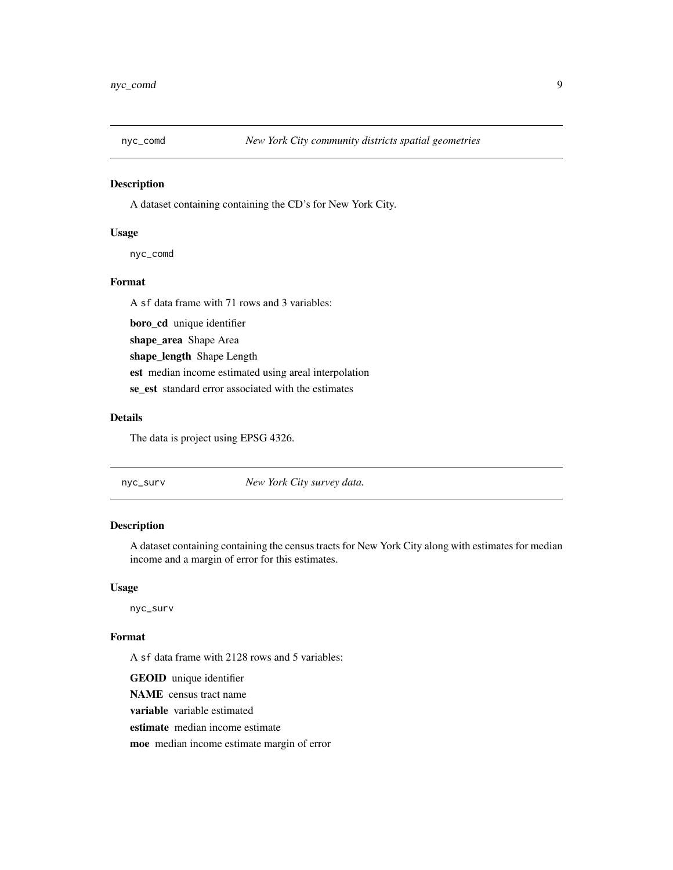<span id="page-8-0"></span>

#### Description

A dataset containing containing the CD's for New York City.

#### Usage

nyc\_comd

#### Format

A sf data frame with 71 rows and 3 variables:

boro\_cd unique identifier

shape\_area Shape Area

shape\_length Shape Length

est median income estimated using areal interpolation

se\_est standard error associated with the estimates

#### Details

The data is project using EPSG 4326.

nyc\_surv *New York City survey data.*

#### Description

A dataset containing containing the census tracts for New York City along with estimates for median income and a margin of error for this estimates.

#### Usage

nyc\_surv

#### Format

A sf data frame with 2128 rows and 5 variables:

GEOID unique identifier

NAME census tract name

variable variable estimated

estimate median income estimate

moe median income estimate margin of error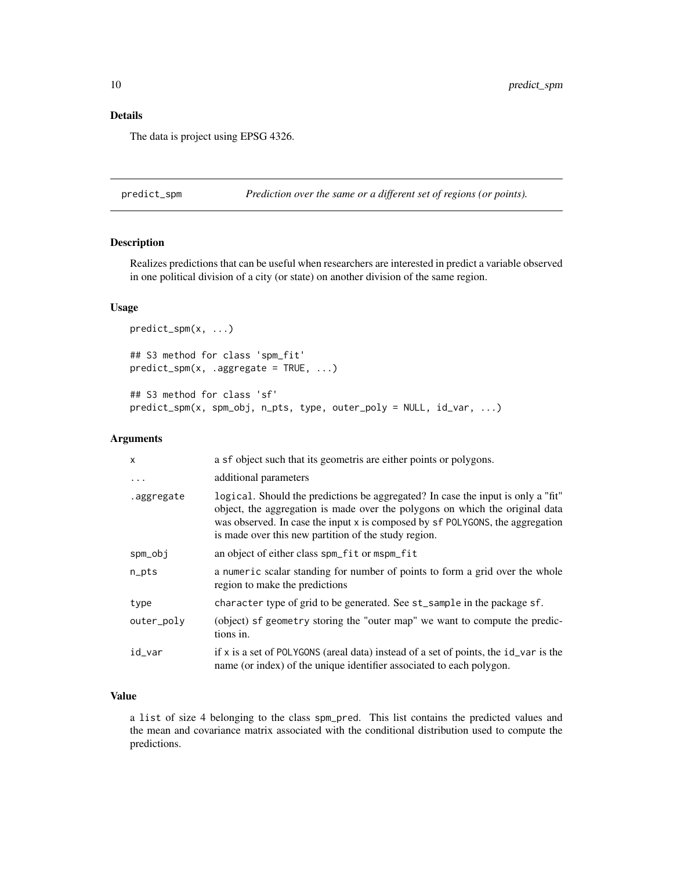#### <span id="page-9-0"></span>Details

The data is project using EPSG 4326.

predict\_spm *Prediction over the same or a different set of regions (or points).*

#### Description

Realizes predictions that can be useful when researchers are interested in predict a variable observed in one political division of a city (or state) on another division of the same region.

#### Usage

```
predict_spm(x, ...)
## S3 method for class 'spm_fit'
predict_spm(x, .aggregate = TRUE, ...)
## S3 method for class 'sf'
predict_spm(x, spm_obj, n_pts, type, outer_poly = NULL, id_var, ...)
```
#### Arguments

| $\mathsf{x}$ | a sf object such that its geometris are either points or polygons.                                                                                                                                                                                                                                        |
|--------------|-----------------------------------------------------------------------------------------------------------------------------------------------------------------------------------------------------------------------------------------------------------------------------------------------------------|
| .            | additional parameters                                                                                                                                                                                                                                                                                     |
| .aggregate   | logical. Should the predictions be aggregated? In case the input is only a "fit"<br>object, the aggregation is made over the polygons on which the original data<br>was observed. In case the input x is composed by sf POLYGONS, the aggregation<br>is made over this new partition of the study region. |
| spm_obj      | an object of either class spm_fit or mspm_fit                                                                                                                                                                                                                                                             |
| $n_{pl}$     | a numeric scalar standing for number of points to form a grid over the whole<br>region to make the predictions                                                                                                                                                                                            |
| type         | character type of grid to be generated. See st_sample in the package sf.                                                                                                                                                                                                                                  |
| outer_poly   | (object) sf geometry storing the "outer map" we want to compute the predic-<br>tions in.                                                                                                                                                                                                                  |
| id_var       | if x is a set of POLYGONS (areal data) instead of a set of points, the $id_{var}$ is the<br>name (or index) of the unique identifier associated to each polygon.                                                                                                                                          |

#### Value

a list of size 4 belonging to the class spm\_pred. This list contains the predicted values and the mean and covariance matrix associated with the conditional distribution used to compute the predictions.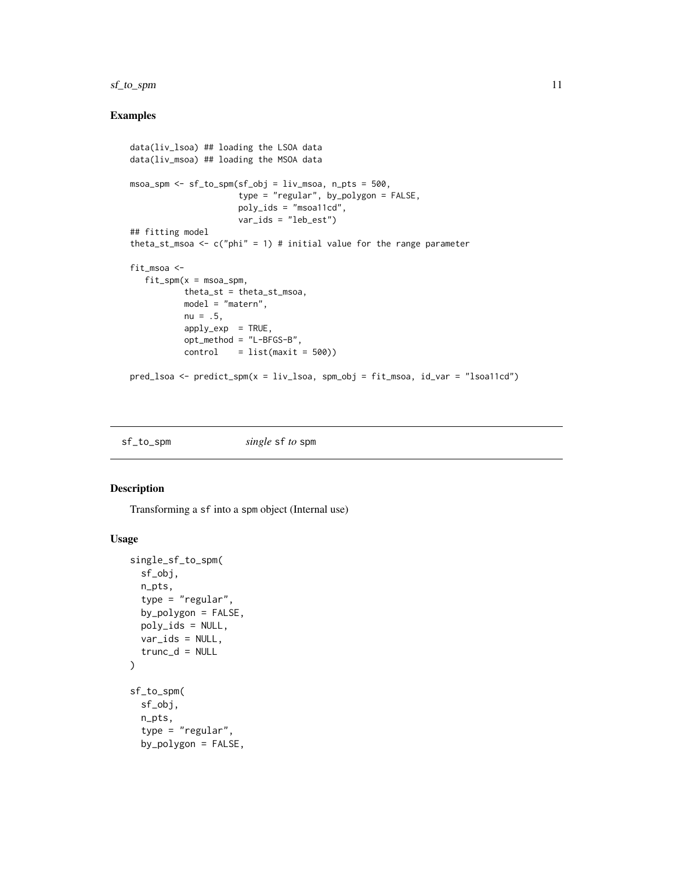#### <span id="page-10-0"></span>sf\_to\_spm 11

#### Examples

```
data(liv_lsoa) ## loading the LSOA data
data(liv_msoa) ## loading the MSOA data
msoa_spm <- sf_to_spm(sf_obj = liv_msoa, n_pts = 500,
                     type = "regular", by_polygon = FALSE,
                     poly_ids = "msoa11cd",
                     var_ids = "leb_est")
## fitting model
theta_st_msoa <- c("phi" = 1) # initial value for the range parameter
fit_msoa <-
  fit\_spm(x = msoa\_spm,theta_st = theta_st_msoa,
          model = "matern",
          nu = .5,
           apply\_exp = TRUE,
          opt_method = "L-BFGS-B",
          control = list(maxit = 500)pred_lsoa <- predict_spm(x = liv_lsoa, spm_obj = fit_msoa, id_var = "lsoa11cd")
```
sf\_to\_spm *single* sf *to* spm

#### Description

Transforming a sf into a spm object (Internal use)

#### Usage

```
single_sf_to_spm(
  sf_obj,
 n_pts,
  type = "regular",
 by_polygon = FALSE,
  poly_ids = NULL,
  var\_ids = NULL,trunc_d = NULL\lambdasf_to_spm(
  sf_obj,
  n_pts,
  type = "regular",
  by_polygon = FALSE,
```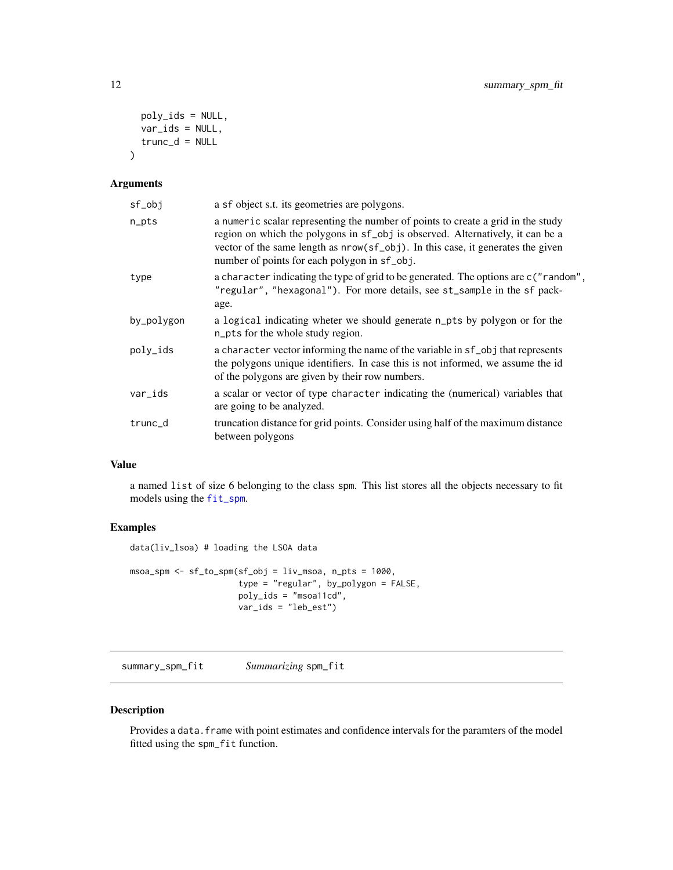```
poly_ids = NULL,
 var_ids = NULL,
  trunc_d = NULL\lambda
```
#### Arguments

| sf_obj     | a sf object s.t. its geometries are polygons.                                                                                                                                                                                                                                                            |
|------------|----------------------------------------------------------------------------------------------------------------------------------------------------------------------------------------------------------------------------------------------------------------------------------------------------------|
| $n_{pl}$   | a numeric scalar representing the number of points to create a grid in the study<br>region on which the polygons in sf_obj is observed. Alternatively, it can be a<br>vector of the same length as $nrow(sf_obj)$ . In this case, it generates the given<br>number of points for each polygon in sf_obj. |
| type       | a character indicating the type of grid to be generated. The options are c ("random",<br>"regular", "hexagonal"). For more details, see st_sample in the sf pack-<br>age.                                                                                                                                |
| by_polygon | a logical indicating wheter we should generate n_pts by polygon or for the<br>n_pts for the whole study region.                                                                                                                                                                                          |
| poly_ids   | a character vector informing the name of the variable in sf_obj that represents<br>the polygons unique identifiers. In case this is not informed, we assume the id<br>of the polygons are given by their row numbers.                                                                                    |
| var_ids    | a scalar or vector of type character indicating the (numerical) variables that<br>are going to be analyzed.                                                                                                                                                                                              |
| trunc_d    | truncation distance for grid points. Consider using half of the maximum distance<br>between polygons                                                                                                                                                                                                     |

#### Value

a named list of size 6 belonging to the class spm. This list stores all the objects necessary to fit models using the [fit\\_spm](#page-3-1).

#### Examples

data(liv\_lsoa) # loading the LSOA data

```
msoa_spm <- sf_to_spm(sf_obj = liv_msoa, n_pts = 1000,
                      type = "regular", by_polygon = FALSE,
                     poly_ids = "msoa11cd",
                     var_ids = "leb_est")
```
summary\_spm\_fit *Summarizing* spm\_fit

#### Description

Provides a data. frame with point estimates and confidence intervals for the paramters of the model fitted using the spm\_fit function.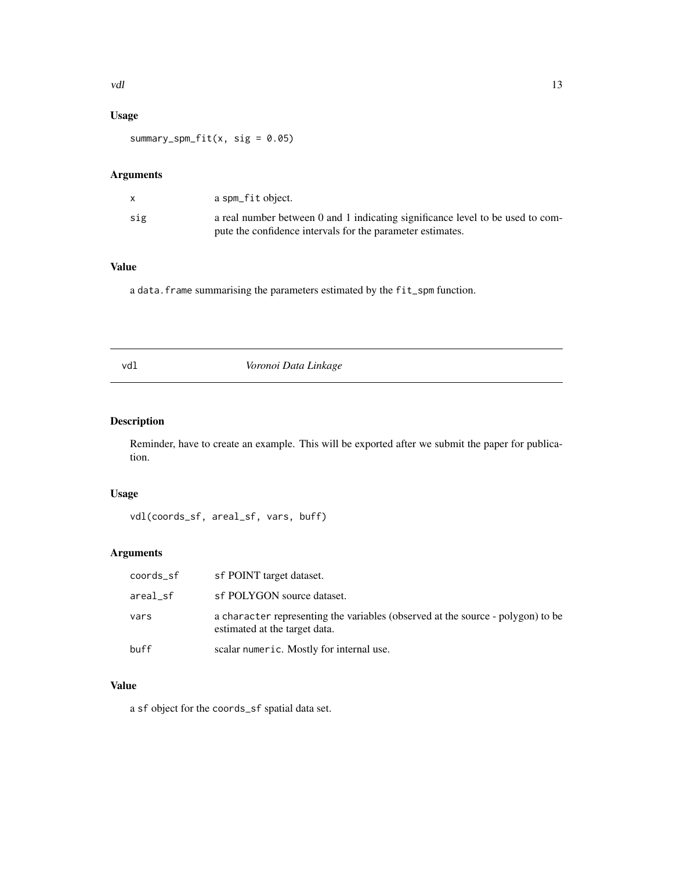#### <span id="page-12-0"></span>Usage

summary\_spm\_fit(x, sig =  $0.05$ )

#### Arguments

|     | a spm_fit object.                                                                                                                            |
|-----|----------------------------------------------------------------------------------------------------------------------------------------------|
| sig | a real number between 0 and 1 indicating significance level to be used to com-<br>pute the confidence intervals for the parameter estimates. |

#### Value

a data.frame summarising the parameters estimated by the fit\_spm function.

| × | ٠<br>$\sim$ |  |
|---|-------------|--|
|   |             |  |

Voronoi Data Linkage

#### Description

Reminder, have to create an example. This will be exported after we submit the paper for publication.

#### Usage

```
vdl(coords_sf, areal_sf, vars, buff)
```
#### Arguments

| coords_sf | sf POINT target dataset.                                                                                         |
|-----------|------------------------------------------------------------------------------------------------------------------|
| areal_sf  | sf POLYGON source dataset.                                                                                       |
| vars      | a character representing the variables (observed at the source - polygon) to be<br>estimated at the target data. |
| buff      | scalar numeric. Mostly for internal use.                                                                         |

#### Value

a sf object for the coords\_sf spatial data set.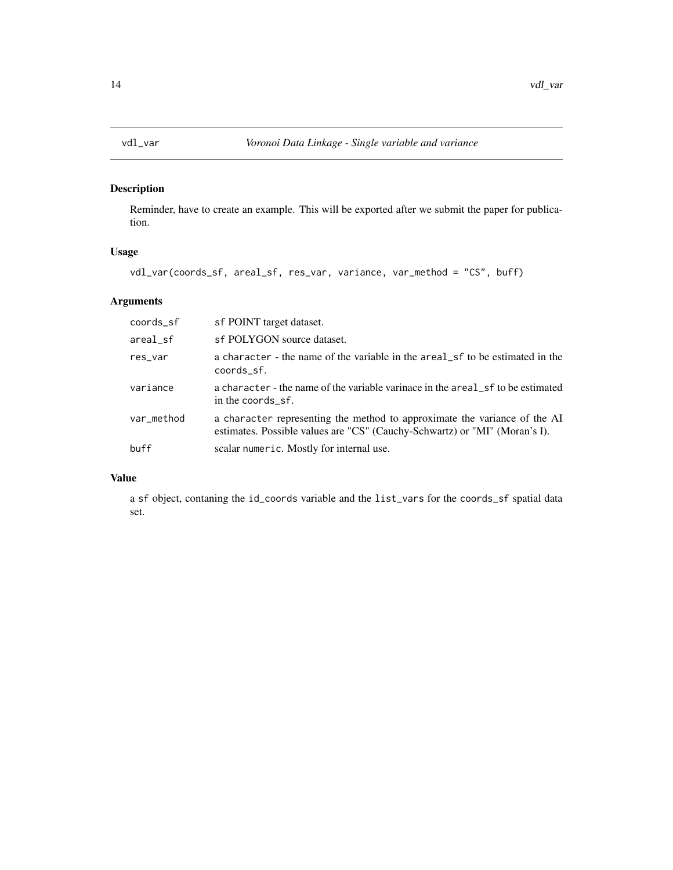<span id="page-13-0"></span>

#### Description

Reminder, have to create an example. This will be exported after we submit the paper for publication.

#### Usage

vdl\_var(coords\_sf, areal\_sf, res\_var, variance, var\_method = "CS", buff)

#### Arguments

| coords_sf  | sf POINT target dataset.                                                                                                                                |
|------------|---------------------------------------------------------------------------------------------------------------------------------------------------------|
| areal_sf   | sf POLYGON source dataset.                                                                                                                              |
| res_var    | a character - the name of the variable in the areal sf to be estimated in the<br>coords_sf.                                                             |
| variance   | a character - the name of the variable varinace in the areal sf to be estimated<br>in the coords sf.                                                    |
| var_method | a character representing the method to approximate the variance of the AI<br>estimates. Possible values are "CS" (Cauchy-Schwartz) or "MI" (Moran's I). |
| buff       | scalar numeric. Mostly for internal use.                                                                                                                |

#### Value

a sf object, contaning the id\_coords variable and the list\_vars for the coords\_sf spatial data set.